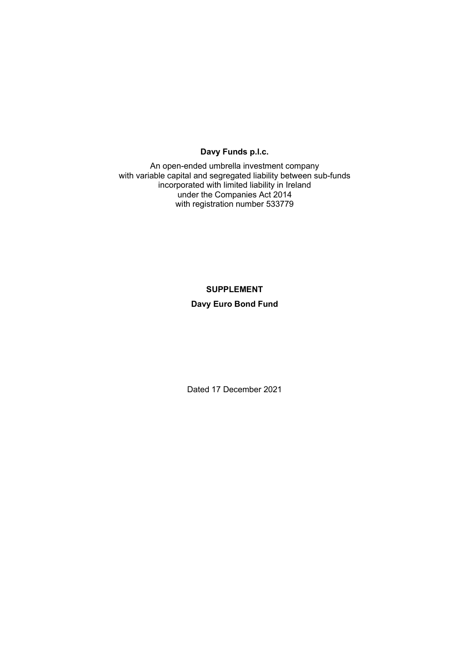## **Davy Funds p.l.c.**

An open-ended umbrella investment company with variable capital and segregated liability between sub-funds incorporated with limited liability in Ireland under the Companies Act 2014 with registration number 533779

# **SUPPLEMENT Davy Euro Bond Fund**

Dated 17 December 2021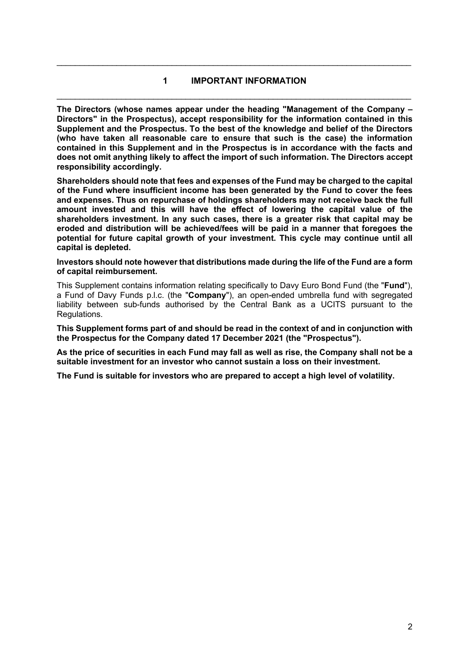# **1 IMPORTANT INFORMATION**  \_\_\_\_\_\_\_\_\_\_\_\_\_\_\_\_\_\_\_\_\_\_\_\_\_\_\_\_\_\_\_\_\_\_\_\_\_\_\_\_\_\_\_\_\_\_\_\_\_\_\_\_\_\_\_\_\_\_\_\_\_\_\_\_\_\_\_\_\_\_\_\_\_\_\_\_\_

\_\_\_\_\_\_\_\_\_\_\_\_\_\_\_\_\_\_\_\_\_\_\_\_\_\_\_\_\_\_\_\_\_\_\_\_\_\_\_\_\_\_\_\_\_\_\_\_\_\_\_\_\_\_\_\_\_\_\_\_\_\_\_\_\_\_\_\_\_\_\_\_\_\_\_\_\_

**The Directors (whose names appear under the heading "Management of the Company – Directors" in the Prospectus), accept responsibility for the information contained in this Supplement and the Prospectus. To the best of the knowledge and belief of the Directors (who have taken all reasonable care to ensure that such is the case) the information contained in this Supplement and in the Prospectus is in accordance with the facts and does not omit anything likely to affect the import of such information. The Directors accept responsibility accordingly.** 

**Shareholders should note that fees and expenses of the Fund may be charged to the capital of the Fund where insufficient income has been generated by the Fund to cover the fees and expenses. Thus on repurchase of holdings shareholders may not receive back the full amount invested and this will have the effect of lowering the capital value of the shareholders investment. In any such cases, there is a greater risk that capital may be eroded and distribution will be achieved/fees will be paid in a manner that foregoes the potential for future capital growth of your investment. This cycle may continue until all capital is depleted.** 

#### **Investors should note however that distributions made during the life of the Fund are a form of capital reimbursement.**

This Supplement contains information relating specifically to Davy Euro Bond Fund (the "**Fund**"), a Fund of Davy Funds p.l.c. (the "**Company**"), an open-ended umbrella fund with segregated liability between sub-funds authorised by the Central Bank as a UCITS pursuant to the Regulations.

**This Supplement forms part of and should be read in the context of and in conjunction with the Prospectus for the Company dated 17 December 2021 (the "Prospectus").** 

**As the price of securities in each Fund may fall as well as rise, the Company shall not be a suitable investment for an investor who cannot sustain a loss on their investment.** 

**The Fund is suitable for investors who are prepared to accept a high level of volatility.**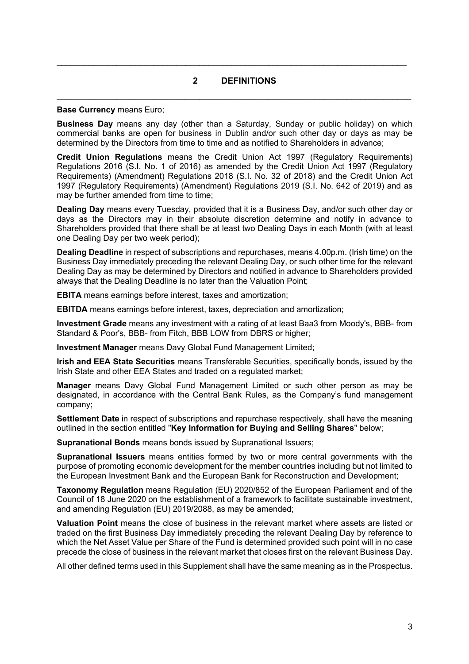### **2 DEFINITIONS**

\_\_\_\_\_\_\_\_\_\_\_\_\_\_\_\_\_\_\_\_\_\_\_\_\_\_\_\_\_\_\_\_\_\_\_\_\_\_\_\_\_\_\_\_\_\_\_\_\_\_\_\_\_\_\_\_\_\_\_\_\_\_\_\_\_\_\_\_\_\_\_\_\_\_\_\_\_

 $\mathcal{L}_\mathcal{L} = \mathcal{L}_\mathcal{L} = \mathcal{L}_\mathcal{L} = \mathcal{L}_\mathcal{L} = \mathcal{L}_\mathcal{L} = \mathcal{L}_\mathcal{L} = \mathcal{L}_\mathcal{L} = \mathcal{L}_\mathcal{L} = \mathcal{L}_\mathcal{L} = \mathcal{L}_\mathcal{L} = \mathcal{L}_\mathcal{L} = \mathcal{L}_\mathcal{L} = \mathcal{L}_\mathcal{L} = \mathcal{L}_\mathcal{L} = \mathcal{L}_\mathcal{L} = \mathcal{L}_\mathcal{L} = \mathcal{L}_\mathcal{L}$ 

#### **Base Currency** means Euro;

**Business Day** means any day (other than a Saturday, Sunday or public holiday) on which commercial banks are open for business in Dublin and/or such other day or days as may be determined by the Directors from time to time and as notified to Shareholders in advance;

**Credit Union Regulations** means the Credit Union Act 1997 (Regulatory Requirements) Regulations 2016 (S.I. No. 1 of 2016) as amended by the Credit Union Act 1997 (Regulatory Requirements) (Amendment) Regulations 2018 (S.I. No. 32 of 2018) and the Credit Union Act 1997 (Regulatory Requirements) (Amendment) Regulations 2019 (S.I. No. 642 of 2019) and as may be further amended from time to time;

**Dealing Day** means every Tuesday, provided that it is a Business Day, and/or such other day or days as the Directors may in their absolute discretion determine and notify in advance to Shareholders provided that there shall be at least two Dealing Days in each Month (with at least one Dealing Day per two week period);

**Dealing Deadline** in respect of subscriptions and repurchases, means 4.00p.m. (Irish time) on the Business Day immediately preceding the relevant Dealing Day, or such other time for the relevant Dealing Day as may be determined by Directors and notified in advance to Shareholders provided always that the Dealing Deadline is no later than the Valuation Point;

**EBITA** means earnings before interest, taxes and amortization;

**EBITDA** means earnings before interest, taxes, depreciation and amortization;

**Investment Grade** means any investment with a rating of at least Baa3 from Moody's, BBB- from Standard & Poor's, BBB- from Fitch, BBB LOW from DBRS or higher;

**Investment Manager** means Davy Global Fund Management Limited;

**Irish and EEA State Securities** means Transferable Securities, specifically bonds, issued by the Irish State and other EEA States and traded on a regulated market;

**Manager** means Davy Global Fund Management Limited or such other person as may be designated, in accordance with the Central Bank Rules, as the Company's fund management company;

**Settlement Date** in respect of subscriptions and repurchase respectively, shall have the meaning outlined in the section entitled "**Key Information for Buying and Selling Shares**" below;

**Supranational Bonds** means bonds issued by Supranational Issuers;

**Supranational Issuers** means entities formed by two or more central governments with the purpose of promoting economic development for the member countries including but not limited to the European Investment Bank and the European Bank for Reconstruction and Development;

**Taxonomy Regulation** means Regulation (EU) 2020/852 of the European Parliament and of the Council of 18 June 2020 on the establishment of a framework to facilitate sustainable investment, and amending Regulation (EU) 2019/2088, as may be amended;

**Valuation Point** means the close of business in the relevant market where assets are listed or traded on the first Business Day immediately preceding the relevant Dealing Day by reference to which the Net Asset Value per Share of the Fund is determined provided such point will in no case precede the close of business in the relevant market that closes first on the relevant Business Day.

All other defined terms used in this Supplement shall have the same meaning as in the Prospectus.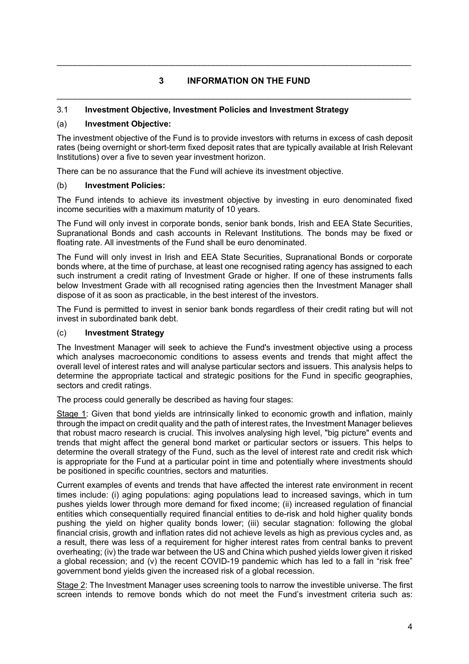# **3 INFORMATION ON THE FUND**  \_\_\_\_\_\_\_\_\_\_\_\_\_\_\_\_\_\_\_\_\_\_\_\_\_\_\_\_\_\_\_\_\_\_\_\_\_\_\_\_\_\_\_\_\_\_\_\_\_\_\_\_\_\_\_\_\_\_\_\_\_\_\_\_\_\_\_\_\_\_\_\_\_\_\_\_\_

\_\_\_\_\_\_\_\_\_\_\_\_\_\_\_\_\_\_\_\_\_\_\_\_\_\_\_\_\_\_\_\_\_\_\_\_\_\_\_\_\_\_\_\_\_\_\_\_\_\_\_\_\_\_\_\_\_\_\_\_\_\_\_\_\_\_\_\_\_\_\_\_\_\_\_\_\_

### 3.1 **Investment Objective, Investment Policies and Investment Strategy**

### (a) **Investment Objective:**

The investment objective of the Fund is to provide investors with returns in excess of cash deposit rates (being overnight or short-term fixed deposit rates that are typically available at Irish Relevant Institutions) over a five to seven year investment horizon.

There can be no assurance that the Fund will achieve its investment objective.

### (b) **Investment Policies:**

The Fund intends to achieve its investment objective by investing in euro denominated fixed income securities with a maximum maturity of 10 years.

The Fund will only invest in corporate bonds, senior bank bonds, Irish and EEA State Securities, Supranational Bonds and cash accounts in Relevant Institutions. The bonds may be fixed or floating rate. All investments of the Fund shall be euro denominated.

The Fund will only invest in Irish and EEA State Securities, Supranational Bonds or corporate bonds where, at the time of purchase, at least one recognised rating agency has assigned to each such instrument a credit rating of Investment Grade or higher. If one of these instruments falls below Investment Grade with all recognised rating agencies then the Investment Manager shall dispose of it as soon as practicable, in the best interest of the investors.

The Fund is permitted to invest in senior bank bonds regardless of their credit rating but will not invest in subordinated bank debt.

### (c) **Investment Strategy**

The Investment Manager will seek to achieve the Fund's investment objective using a process which analyses macroeconomic conditions to assess events and trends that might affect the overall level of interest rates and will analyse particular sectors and issuers. This analysis helps to determine the appropriate tactical and strategic positions for the Fund in specific geographies, sectors and credit ratings.

The process could generally be described as having four stages:

Stage 1: Given that bond yields are intrinsically linked to economic growth and inflation, mainly through the impact on credit quality and the path of interest rates, the Investment Manager believes that robust macro research is crucial. This involves analysing high level, "big picture" events and trends that might affect the general bond market or particular sectors or issuers. This helps to determine the overall strategy of the Fund, such as the level of interest rate and credit risk which is appropriate for the Fund at a particular point in time and potentially where investments should be positioned in specific countries, sectors and maturities.

Current examples of events and trends that have affected the interest rate environment in recent times include: (i) aging populations: aging populations lead to increased savings, which in turn pushes yields lower through more demand for fixed income; (ii) increased regulation of financial entities which consequentially required financial entities to de-risk and hold higher quality bonds pushing the yield on higher quality bonds lower; (iii) secular stagnation: following the global financial crisis, growth and inflation rates did not achieve levels as high as previous cycles and, as a result, there was less of a requirement for higher interest rates from central banks to prevent overheating; (iv) the trade war between the US and China which pushed yields lower given it risked a global recession; and (v) the recent COVID-19 pandemic which has led to a fall in "risk free" government bond yields given the increased risk of a global recession.

Stage 2: The Investment Manager uses screening tools to narrow the investible universe. The first screen intends to remove bonds which do not meet the Fund's investment criteria such as: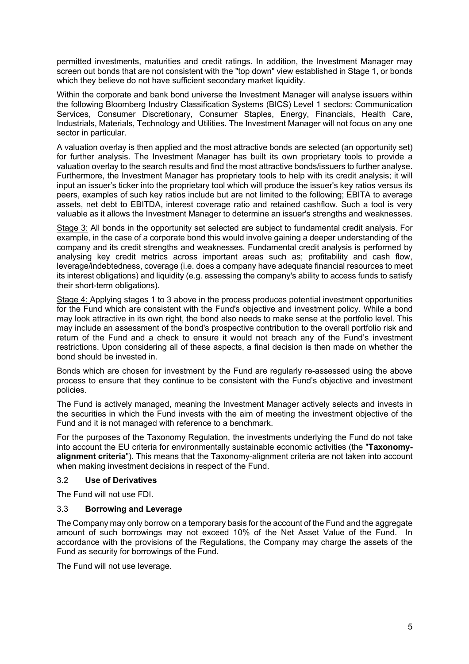permitted investments, maturities and credit ratings. In addition, the Investment Manager may screen out bonds that are not consistent with the "top down" view established in Stage 1, or bonds which they believe do not have sufficient secondary market liquidity.

Within the corporate and bank bond universe the Investment Manager will analyse issuers within the following Bloomberg Industry Classification Systems (BICS) Level 1 sectors: Communication Services, Consumer Discretionary, Consumer Staples, Energy, Financials, Health Care, Industrials, Materials, Technology and Utilities. The Investment Manager will not focus on any one sector in particular.

A valuation overlay is then applied and the most attractive bonds are selected (an opportunity set) for further analysis. The Investment Manager has built its own proprietary tools to provide a valuation overlay to the search results and find the most attractive bonds/issuers to further analyse. Furthermore, the Investment Manager has proprietary tools to help with its credit analysis; it will input an issuer's ticker into the proprietary tool which will produce the issuer's key ratios versus its peers, examples of such key ratios include but are not limited to the following; EBITA to average assets, net debt to EBITDA, interest coverage ratio and retained cashflow. Such a tool is very valuable as it allows the Investment Manager to determine an issuer's strengths and weaknesses.

Stage 3: All bonds in the opportunity set selected are subject to fundamental credit analysis. For example, in the case of a corporate bond this would involve gaining a deeper understanding of the company and its credit strengths and weaknesses. Fundamental credit analysis is performed by analysing key credit metrics across important areas such as; profitability and cash flow, leverage/indebtedness, coverage (i.e. does a company have adequate financial resources to meet its interest obligations) and liquidity (e.g. assessing the company's ability to access funds to satisfy their short-term obligations).

Stage 4: Applying stages 1 to 3 above in the process produces potential investment opportunities for the Fund which are consistent with the Fund's objective and investment policy. While a bond may look attractive in its own right, the bond also needs to make sense at the portfolio level. This may include an assessment of the bond's prospective contribution to the overall portfolio risk and return of the Fund and a check to ensure it would not breach any of the Fund's investment restrictions. Upon considering all of these aspects, a final decision is then made on whether the bond should be invested in.

Bonds which are chosen for investment by the Fund are regularly re-assessed using the above process to ensure that they continue to be consistent with the Fund's objective and investment policies.

The Fund is actively managed, meaning the Investment Manager actively selects and invests in the securities in which the Fund invests with the aim of meeting the investment objective of the Fund and it is not managed with reference to a benchmark.

For the purposes of the Taxonomy Regulation, the investments underlying the Fund do not take into account the EU criteria for environmentally sustainable economic activities (the "**Taxonomyalignment criteria**"). This means that the Taxonomy-alignment criteria are not taken into account when making investment decisions in respect of the Fund.

### 3.2 **Use of Derivatives**

The Fund will not use FDI.

### 3.3 **Borrowing and Leverage**

The Company may only borrow on a temporary basis for the account of the Fund and the aggregate amount of such borrowings may not exceed 10% of the Net Asset Value of the Fund. In accordance with the provisions of the Regulations, the Company may charge the assets of the Fund as security for borrowings of the Fund.

The Fund will not use leverage.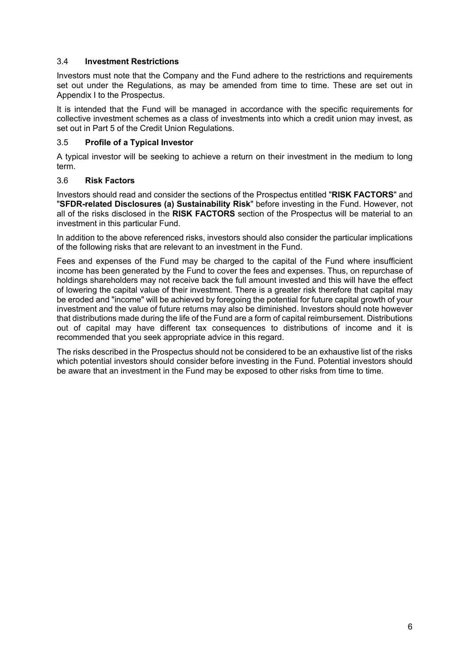### 3.4 **Investment Restrictions**

Investors must note that the Company and the Fund adhere to the restrictions and requirements set out under the Regulations, as may be amended from time to time. These are set out in Appendix I to the Prospectus.

It is intended that the Fund will be managed in accordance with the specific requirements for collective investment schemes as a class of investments into which a credit union may invest, as set out in Part 5 of the Credit Union Regulations.

### 3.5 **Profile of a Typical Investor**

A typical investor will be seeking to achieve a return on their investment in the medium to long term.

### 3.6 **Risk Factors**

Investors should read and consider the sections of the Prospectus entitled "**RISK FACTORS**" and "**SFDR-related Disclosures (a) Sustainability Risk**" before investing in the Fund. However, not all of the risks disclosed in the **RISK FACTORS** section of the Prospectus will be material to an investment in this particular Fund.

In addition to the above referenced risks, investors should also consider the particular implications of the following risks that are relevant to an investment in the Fund.

Fees and expenses of the Fund may be charged to the capital of the Fund where insufficient income has been generated by the Fund to cover the fees and expenses. Thus, on repurchase of holdings shareholders may not receive back the full amount invested and this will have the effect of lowering the capital value of their investment. There is a greater risk therefore that capital may be eroded and "income" will be achieved by foregoing the potential for future capital growth of your investment and the value of future returns may also be diminished. Investors should note however that distributions made during the life of the Fund are a form of capital reimbursement. Distributions out of capital may have different tax consequences to distributions of income and it is recommended that you seek appropriate advice in this regard.

The risks described in the Prospectus should not be considered to be an exhaustive list of the risks which potential investors should consider before investing in the Fund. Potential investors should be aware that an investment in the Fund may be exposed to other risks from time to time.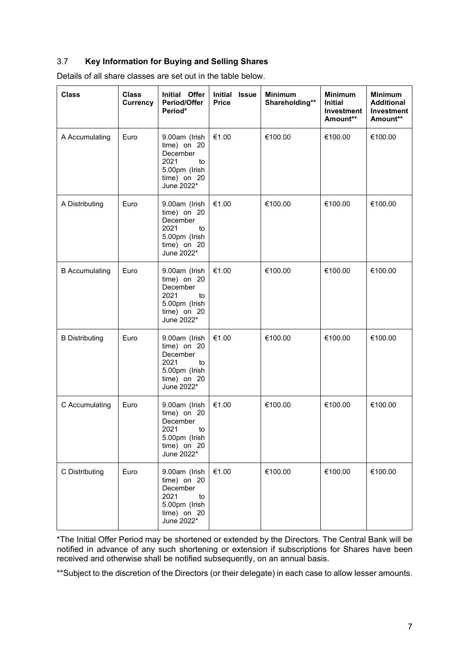## 3.7 **Key Information for Buying and Selling Shares**

| Details of all share classes are set out in the table below. |  |  |
|--------------------------------------------------------------|--|--|
|                                                              |  |  |

| <b>Class</b>          | <b>Class</b><br><b>Currency</b> | Initial Offer<br>Period/Offer<br>Period*                                                             | Initial<br>Issue<br><b>Price</b> | <b>Minimum</b><br>Shareholding** | <b>Minimum</b><br><b>Initial</b><br>Investment<br>Amount** | <b>Minimum</b><br><b>Additional</b><br><b>Investment</b><br>Amount** |
|-----------------------|---------------------------------|------------------------------------------------------------------------------------------------------|----------------------------------|----------------------------------|------------------------------------------------------------|----------------------------------------------------------------------|
| A Accumulating        | Euro                            | 9.00am (Irish<br>time) on 20<br>December<br>2021<br>to<br>5.00pm (Irish<br>time) on 20<br>June 2022* | €1.00                            | €100.00                          | €100.00                                                    | €100.00                                                              |
| A Distributing        | Euro                            | 9.00am (Irish<br>time) on 20<br>December<br>2021<br>to<br>5.00pm (Irish<br>time) on 20<br>June 2022* | €1.00                            | €100.00                          | €100.00                                                    | €100.00                                                              |
| <b>B</b> Accumulating | Euro                            | 9.00am (Irish<br>time) on 20<br>December<br>2021<br>to<br>5.00pm (Irish<br>time) on 20<br>June 2022* | €1.00                            | €100.00                          | €100.00                                                    | €100.00                                                              |
| <b>B</b> Distributing | Euro                            | 9.00am (Irish<br>time) on 20<br>December<br>2021<br>to<br>5.00pm (Irish<br>time) on 20<br>June 2022* | €1.00                            | €100.00                          | €100.00                                                    | €100.00                                                              |
| C Accumulating        | Euro                            | 9.00am (Irish<br>time) on 20<br>December<br>2021<br>to<br>5.00pm (Irish<br>time) on 20<br>June 2022* | €1.00                            | €100.00                          | €100.00                                                    | €100.00                                                              |
| C Distributing        | Euro                            | 9.00am (Irish<br>time) on 20<br>December<br>2021<br>to<br>5.00pm (Irish<br>time) on 20<br>June 2022* | €1.00                            | €100.00                          | €100.00                                                    | €100.00                                                              |

\*The Initial Offer Period may be shortened or extended by the Directors. The Central Bank will be notified in advance of any such shortening or extension if subscriptions for Shares have been received and otherwise shall be notified subsequently, on an annual basis.

\*\*Subject to the discretion of the Directors (or their delegate) in each case to allow lesser amounts.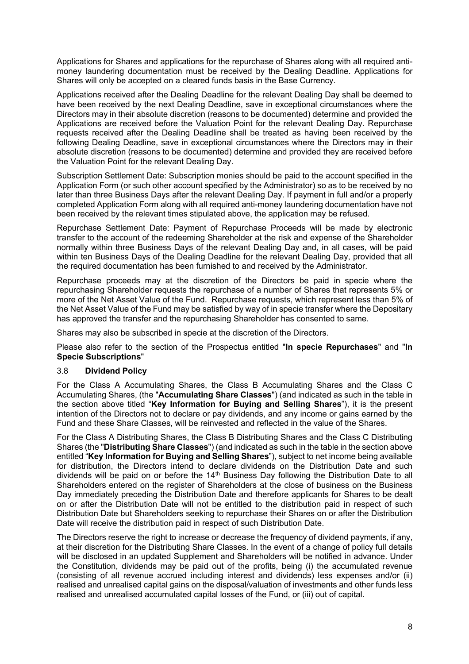Applications for Shares and applications for the repurchase of Shares along with all required antimoney laundering documentation must be received by the Dealing Deadline. Applications for Shares will only be accepted on a cleared funds basis in the Base Currency.

Applications received after the Dealing Deadline for the relevant Dealing Day shall be deemed to have been received by the next Dealing Deadline, save in exceptional circumstances where the Directors may in their absolute discretion (reasons to be documented) determine and provided the Applications are received before the Valuation Point for the relevant Dealing Day. Repurchase requests received after the Dealing Deadline shall be treated as having been received by the following Dealing Deadline, save in exceptional circumstances where the Directors may in their absolute discretion (reasons to be documented) determine and provided they are received before the Valuation Point for the relevant Dealing Day.

Subscription Settlement Date: Subscription monies should be paid to the account specified in the Application Form (or such other account specified by the Administrator) so as to be received by no later than three Business Days after the relevant Dealing Day. If payment in full and/or a properly completed Application Form along with all required anti-money laundering documentation have not been received by the relevant times stipulated above, the application may be refused.

Repurchase Settlement Date: Payment of Repurchase Proceeds will be made by electronic transfer to the account of the redeeming Shareholder at the risk and expense of the Shareholder normally within three Business Days of the relevant Dealing Day and, in all cases, will be paid within ten Business Days of the Dealing Deadline for the relevant Dealing Day, provided that all the required documentation has been furnished to and received by the Administrator.

Repurchase proceeds may at the discretion of the Directors be paid in specie where the repurchasing Shareholder requests the repurchase of a number of Shares that represents 5% or more of the Net Asset Value of the Fund. Repurchase requests, which represent less than 5% of the Net Asset Value of the Fund may be satisfied by way of in specie transfer where the Depositary has approved the transfer and the repurchasing Shareholder has consented to same.

Shares may also be subscribed in specie at the discretion of the Directors.

Please also refer to the section of the Prospectus entitled "**In specie Repurchases**" and "**In Specie Subscriptions**"

### 3.8 **Dividend Policy**

For the Class A Accumulating Shares, the Class B Accumulating Shares and the Class C Accumulating Shares, (the "**Accumulating Share Classes**") (and indicated as such in the table in the section above titled "**Key Information for Buying and Selling Shares**"), it is the present intention of the Directors not to declare or pay dividends, and any income or gains earned by the Fund and these Share Classes, will be reinvested and reflected in the value of the Shares.

For the Class A Distributing Shares, the Class B Distributing Shares and the Class C Distributing Shares (the "**Distributing Share Classes**") (and indicated as such in the table in the section above entitled "**Key Information for Buying and Selling Shares**"), subject to net income being available for distribution, the Directors intend to declare dividends on the Distribution Date and such dividends will be paid on or before the  $14<sup>th</sup>$  Business Day following the Distribution Date to all Shareholders entered on the register of Shareholders at the close of business on the Business Day immediately preceding the Distribution Date and therefore applicants for Shares to be dealt on or after the Distribution Date will not be entitled to the distribution paid in respect of such Distribution Date but Shareholders seeking to repurchase their Shares on or after the Distribution Date will receive the distribution paid in respect of such Distribution Date.

The Directors reserve the right to increase or decrease the frequency of dividend payments, if any, at their discretion for the Distributing Share Classes. In the event of a change of policy full details will be disclosed in an updated Supplement and Shareholders will be notified in advance. Under the Constitution, dividends may be paid out of the profits, being (i) the accumulated revenue (consisting of all revenue accrued including interest and dividends) less expenses and/or (ii) realised and unrealised capital gains on the disposal/valuation of investments and other funds less realised and unrealised accumulated capital losses of the Fund, or (iii) out of capital.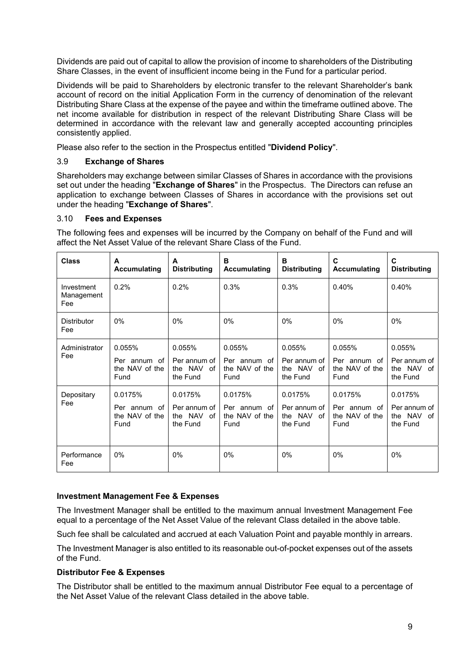Dividends are paid out of capital to allow the provision of income to shareholders of the Distributing Share Classes, in the event of insufficient income being in the Fund for a particular period.

Dividends will be paid to Shareholders by electronic transfer to the relevant Shareholder's bank account of record on the initial Application Form in the currency of denomination of the relevant Distributing Share Class at the expense of the payee and within the timeframe outlined above. The net income available for distribution in respect of the relevant Distributing Share Class will be determined in accordance with the relevant law and generally accepted accounting principles consistently applied.

Please also refer to the section in the Prospectus entitled "**Dividend Policy**".

### 3.9 **Exchange of Shares**

Shareholders may exchange between similar Classes of Shares in accordance with the provisions set out under the heading "**Exchange of Shares**" in the Prospectus. The Directors can refuse an application to exchange between Classes of Shares in accordance with the provisions set out under the heading "**Exchange of Shares**".

### 3.10 **Fees and Expenses**

The following fees and expenses will be incurred by the Company on behalf of the Fund and will affect the Net Asset Value of the relevant Share Class of the Fund.

| <b>Class</b>                    | A<br><b>Accumulating</b>                          | A<br><b>Distributing</b>                          | B<br><b>Accumulating</b>                          | в<br><b>Distributing</b>                          | C<br><b>Accumulating</b>                          | C<br><b>Distributing</b>                             |
|---------------------------------|---------------------------------------------------|---------------------------------------------------|---------------------------------------------------|---------------------------------------------------|---------------------------------------------------|------------------------------------------------------|
| Investment<br>Management<br>Fee | 0.2%                                              | 0.2%                                              | 0.3%                                              | 0.3%                                              | 0.40%                                             | 0.40%                                                |
| <b>Distributor</b><br>Fee       | $0\%$                                             | $0\%$                                             | $0\%$                                             | $0\%$                                             | $0\%$                                             | $0\%$                                                |
| Administrator<br>Fee            | 0.055%<br>Per annum of<br>the NAV of the<br>Fund  | 0.055%<br>Per annum of<br>the NAV of<br>the Fund  | 0.055%<br>Per annum of<br>the NAV of the<br>Fund  | 0.055%<br>Per annum of<br>the NAV of<br>the Fund  | 0.055%<br>Per annum of<br>the NAV of the<br>Fund  | 0.055%<br>Per annum of<br>the NAV<br>of<br>the Fund  |
| Depositary<br>Fee               | 0.0175%<br>Per annum of<br>the NAV of the<br>Fund | 0.0175%<br>Per annum of<br>the NAV of<br>the Fund | 0.0175%<br>Per annum of<br>the NAV of the<br>Fund | 0.0175%<br>Per annum of<br>the NAV of<br>the Fund | 0.0175%<br>Per annum of<br>the NAV of the<br>Fund | 0.0175%<br>Per annum of<br>the NAV<br>of<br>the Fund |
| Performance<br>Fee              | $0\%$                                             | $0\%$                                             | $0\%$                                             | $0\%$                                             | 0%                                                | 0%                                                   |

### **Investment Management Fee & Expenses**

The Investment Manager shall be entitled to the maximum annual Investment Management Fee equal to a percentage of the Net Asset Value of the relevant Class detailed in the above table.

Such fee shall be calculated and accrued at each Valuation Point and payable monthly in arrears.

The Investment Manager is also entitled to its reasonable out-of-pocket expenses out of the assets of the Fund.

### **Distributor Fee & Expenses**

The Distributor shall be entitled to the maximum annual Distributor Fee equal to a percentage of the Net Asset Value of the relevant Class detailed in the above table.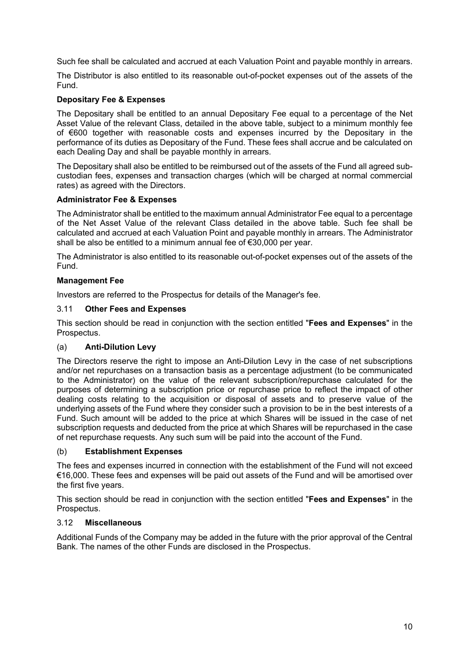Such fee shall be calculated and accrued at each Valuation Point and payable monthly in arrears.

The Distributor is also entitled to its reasonable out-of-pocket expenses out of the assets of the Fund.

### **Depositary Fee & Expenses**

The Depositary shall be entitled to an annual Depositary Fee equal to a percentage of the Net Asset Value of the relevant Class, detailed in the above table, subject to a minimum monthly fee of €600 together with reasonable costs and expenses incurred by the Depositary in the performance of its duties as Depositary of the Fund. These fees shall accrue and be calculated on each Dealing Day and shall be payable monthly in arrears.

The Depositary shall also be entitled to be reimbursed out of the assets of the Fund all agreed subcustodian fees, expenses and transaction charges (which will be charged at normal commercial rates) as agreed with the Directors.

### **Administrator Fee & Expenses**

The Administrator shall be entitled to the maximum annual Administrator Fee equal to a percentage of the Net Asset Value of the relevant Class detailed in the above table. Such fee shall be calculated and accrued at each Valuation Point and payable monthly in arrears. The Administrator shall be also be entitled to a minimum annual fee of €30,000 per year.

The Administrator is also entitled to its reasonable out-of-pocket expenses out of the assets of the Fund.

### **Management Fee**

Investors are referred to the Prospectus for details of the Manager's fee.

### 3.11 **Other Fees and Expenses**

This section should be read in conjunction with the section entitled "**Fees and Expenses**" in the Prospectus.

### (a) **Anti-Dilution Levy**

The Directors reserve the right to impose an Anti-Dilution Levy in the case of net subscriptions and/or net repurchases on a transaction basis as a percentage adjustment (to be communicated to the Administrator) on the value of the relevant subscription/repurchase calculated for the purposes of determining a subscription price or repurchase price to reflect the impact of other dealing costs relating to the acquisition or disposal of assets and to preserve value of the underlying assets of the Fund where they consider such a provision to be in the best interests of a Fund. Such amount will be added to the price at which Shares will be issued in the case of net subscription requests and deducted from the price at which Shares will be repurchased in the case of net repurchase requests. Any such sum will be paid into the account of the Fund.

### (b) **Establishment Expenses**

The fees and expenses incurred in connection with the establishment of the Fund will not exceed €16,000. These fees and expenses will be paid out assets of the Fund and will be amortised over the first five years.

This section should be read in conjunction with the section entitled "**Fees and Expenses**" in the Prospectus.

### 3.12 **Miscellaneous**

Additional Funds of the Company may be added in the future with the prior approval of the Central Bank. The names of the other Funds are disclosed in the Prospectus.